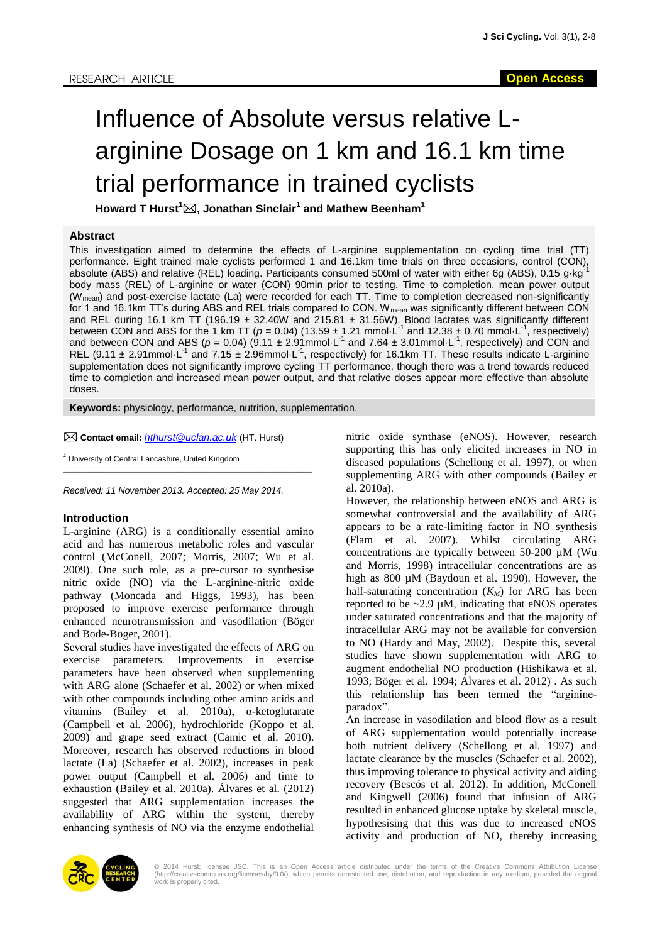# Influence of Absolute versus relative Larginine Dosage on 1 km and 16.1 km time trial performance in trained cyclists

**Howard T Hurst<sup>1</sup>, Jonathan Sinclair<sup>1</sup> and Mathew Beenham<sup>1</sup>**

#### **Abstract**

This investigation aimed to determine the effects of L-arginine supplementation on cycling time trial (TT) performance. Eight trained male cyclists performed 1 and 16.1km time trials on three occasions, control (CON), absolute (ABS) and relative (REL) loading. Participants consumed 500ml of water with either 6q (ABS), 0.15 g·kg<sup>-</sup> body mass (REL) of L-arginine or water (CON) 90min prior to testing. Time to completion, mean power output (Wmean) and post-exercise lactate (La) were recorded for each TT. Time to completion decreased non-significantly for 1 and 16.1km TT's during ABS and REL trials compared to CON. W<sub>mean</sub> was significantly different between CON and REL during 16.1 km TT (196.19  $\pm$  32.40W and 215.81  $\pm$  31.56W). Blood lactates was significantly different between CON and ABS for the 1 km TT ( $p = 0.04$ ) (13.59  $\pm$  1.21 mmol $\cdot$ L<sup>-1</sup> and 12.38  $\pm$  0.70 mmol $\cdot$ L<sup>-1</sup>, respectively) and between CON and ABS ( $p = 0.04$ ) ( $\frac{9.11 \pm 2.91}{\text{mmol}\cdot\text{L}^{-1}}$  and 7.64  $\pm$  3.01mmol $\cdot$ L<sup>-1</sup>, respectively) and CON and REL (9.11  $\pm$  2.91mmol $\cdot$ L<sup>-1</sup> and 7.15  $\pm$  2.96mmol $\cdot$ L<sup>-1</sup>, respectively) for 16.1km TT. These results indicate L-arginine supplementation does not significantly improve cycling TT performance, though there was a trend towards reduced time to completion and increased mean power output, and that relative doses appear more effective than absolute doses.

**Keywords:** physiology, performance, nutrition, supplementation.

**Contact email:** *[hthurst@uclan.ac.uk](mailto:hthurst@uclan.ac.uk)* (HT. Hurst)

*<sup>1</sup>* University of Central Lancashire, United Kingdom

*Received: 11 November 2013. Accepted: 25 May 2014.*

 $\mathcal{L}_\text{max}$  and the set of the set of the set of the set of the set of the set of the set of the set of the set of

### **Introduction**

L-arginine (ARG) is a conditionally essential amino acid and has numerous metabolic roles and vascular control (McConell, 2007; Morris, 2007; Wu et al. 2009). One such role, as a pre-cursor to synthesise nitric oxide (NO) via the L-arginine-nitric oxide pathway (Moncada and Higgs, 1993), has been proposed to improve exercise performance through enhanced neurotransmission and vasodilation (Böger and Bode-Böger, 2001).

Several studies have investigated the effects of ARG on exercise parameters. Improvements in exercise parameters have been observed when supplementing with ARG alone (Schaefer et al. 2002) or when mixed with other compounds including other amino acids and vitamins (Bailey et al. 2010a), α-ketoglutarate (Campbell et al. 2006), hydrochloride (Koppo et al. 2009) and grape seed extract (Camic et al. 2010). Moreover, research has observed reductions in blood lactate (La) (Schaefer et al. 2002), increases in peak power output (Campbell et al. 2006) and time to exhaustion (Bailey et al. 2010a). Álvares et al. (2012) suggested that ARG supplementation increases the availability of ARG within the system, thereby enhancing synthesis of NO via the enzyme endothelial nitric oxide synthase (eNOS). However, research supporting this has only elicited increases in NO in diseased populations (Schellong et al. 1997), or when supplementing ARG with other compounds (Bailey et al. 2010a).

However, the relationship between eNOS and ARG is somewhat controversial and the availability of ARG appears to be a rate-limiting factor in NO synthesis (Flam et al. 2007). Whilst circulating ARG concentrations are typically between 50-200 µM (Wu and Morris, 1998) intracellular concentrations are as high as 800 µM (Baydoun et al. 1990). However, the half-saturating concentration  $(K_M)$  for ARG has been reported to be  $\sim$ 2.9 µM, indicating that eNOS operates under saturated concentrations and that the majority of intracellular ARG may not be available for conversion to NO (Hardy and May, 2002). Despite this, several studies have shown supplementation with ARG to augment endothelial NO production (Hishikawa et al. 1993; Böger et al. 1994; Alvares et al. 2012) . As such this relationship has been termed the "arginineparadox".

An increase in vasodilation and blood flow as a result of ARG supplementation would potentially increase both nutrient delivery (Schellong et al. 1997) and lactate clearance by the muscles (Schaefer et al. 2002), thus improving tolerance to physical activity and aiding recovery (Bescós et al. 2012). In addition, McConell and Kingwell (2006) found that infusion of ARG resulted in enhanced glucose uptake by skeletal muscle, hypothesising that this was due to increased eNOS activity and production of NO, thereby increasing



© 2014 Hurst; licensee JSC. This is an Open Access article distributed under the terms of the Creative Commons Attribution License<br>(http://creativecommons.org/licenses/by/3.0/), which permits unrestricted use, distribution work is properly cited.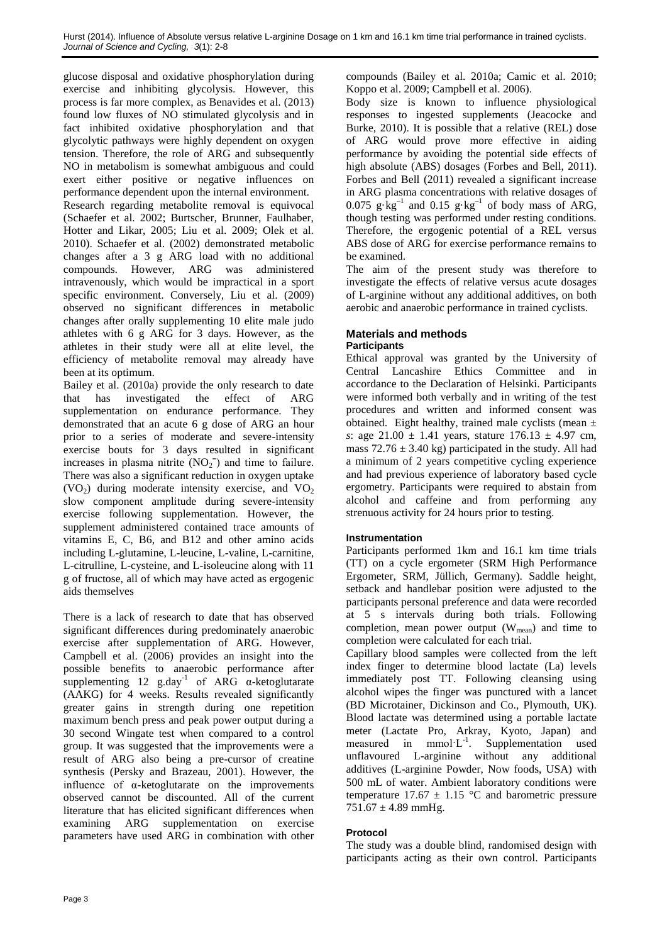glucose disposal and oxidative phosphorylation during exercise and inhibiting glycolysis. However, this process is far more complex, as Benavides et al. (2013) found low fluxes of NO stimulated glycolysis and in fact inhibited oxidative phosphorylation and that glycolytic pathways were highly dependent on oxygen tension. Therefore, the role of ARG and subsequently NO in metabolism is somewhat ambiguous and could exert either positive or negative influences on performance dependent upon the internal environment. Research regarding metabolite removal is equivocal (Schaefer et al. 2002; Burtscher, Brunner, Faulhaber, Hotter and Likar, 2005; Liu et al. 2009; Olek et al. 2010). Schaefer et al. (2002) demonstrated metabolic changes after a 3 g ARG load with no additional compounds. However, ARG was administered intravenously, which would be impractical in a sport specific environment. Conversely, Liu et al. (2009) observed no significant differences in metabolic changes after orally supplementing 10 elite male judo athletes with 6 g ARG for 3 days. However, as the athletes in their study were all at elite level, the efficiency of metabolite removal may already have been at its optimum.

Bailey et al. (2010a) provide the only research to date that has investigated the effect of ARG supplementation on endurance performance. They demonstrated that an acute 6 g dose of ARG an hour prior to a series of moderate and severe-intensity exercise bouts for 3 days resulted in significant increases in plasma nitrite  $(NO<sub>2</sub><sup>-</sup>)$  and time to failure. There was also a significant reduction in oxygen uptake  $(VO<sub>2</sub>)$  during moderate intensity exercise, and  $VO<sub>2</sub>$ slow component amplitude during severe-intensity exercise following supplementation. However, the supplement administered contained trace amounts of vitamins E, C, B6, and B12 and other amino acids including L-glutamine, L-leucine, L-valine, L-carnitine, L-citrulline, L-cysteine, and L-isoleucine along with 11 g of fructose, all of which may have acted as ergogenic aids themselves

There is a lack of research to date that has observed significant differences during predominately anaerobic exercise after supplementation of ARG. However, Campbell et al. (2006) provides an insight into the possible benefits to anaerobic performance after supplementing  $12$  g.day<sup>-1</sup> of ARG  $\alpha$ -ketoglutarate (AAKG) for 4 weeks. Results revealed significantly greater gains in strength during one repetition maximum bench press and peak power output during a 30 second Wingate test when compared to a control group. It was suggested that the improvements were a result of ARG also being a pre-cursor of creatine synthesis (Persky and Brazeau, 2001). However, the influence of α-ketoglutarate on the improvements observed cannot be discounted. All of the current literature that has elicited significant differences when examining ARG supplementation on exercise parameters have used ARG in combination with other

compounds (Bailey et al. 2010a; Camic et al. 2010; Koppo et al. 2009; Campbell et al. 2006).

Body size is known to influence physiological responses to ingested supplements (Jeacocke and Burke, 2010). It is possible that a relative (REL) dose of ARG would prove more effective in aiding performance by avoiding the potential side effects of high absolute (ABS) dosages (Forbes and Bell, 2011). Forbes and Bell (2011) revealed a significant increase in ARG plasma concentrations with relative dosages of  $0.075$  g·kg<sup>-1</sup> and  $0.15$  g·kg<sup>-1</sup> of body mass of ARG, though testing was performed under resting conditions. Therefore, the ergogenic potential of a REL versus ABS dose of ARG for exercise performance remains to be examined.

The aim of the present study was therefore to investigate the effects of relative versus acute dosages of L-arginine without any additional additives, on both aerobic and anaerobic performance in trained cyclists.

### **Materials and methods Participants**

Ethical approval was granted by the University of Central Lancashire Ethics Committee and in accordance to the Declaration of Helsinki. Participants were informed both verbally and in writing of the test procedures and written and informed consent was obtained. Eight healthy, trained male cyclists (mean  $\pm$ *s*: age  $21.00 \pm 1.41$  years, stature  $176.13 \pm 4.97$  cm, mass  $72.76 \pm 3.40$  kg) participated in the study. All had a minimum of 2 years competitive cycling experience and had previous experience of laboratory based cycle ergometry. Participants were required to abstain from alcohol and caffeine and from performing any strenuous activity for 24 hours prior to testing.

# **Instrumentation**

Participants performed 1km and 16.1 km time trials (TT) on a cycle ergometer (SRM High Performance Ergometer, SRM, Jüllich, Germany). Saddle height, setback and handlebar position were adjusted to the participants personal preference and data were recorded at 5 s intervals during both trials. Following completion, mean power output  $(W_{mean})$  and time to completion were calculated for each trial.

Capillary blood samples were collected from the left index finger to determine blood lactate (La) levels immediately post TT. Following cleansing using alcohol wipes the finger was punctured with a lancet (BD Microtainer, Dickinson and Co., Plymouth, UK). Blood lactate was determined using a portable lactate meter (Lactate Pro, Arkray, Kyoto, Japan) and measured in  $mmol·L^{-1}$ . Supplementation used unflavoured L-arginine without any additional additives (L-arginine Powder, Now foods, USA) with 500 mL of water. Ambient laboratory conditions were temperature  $17.67 \pm 1.15$  °C and barometric pressure  $751.67 \pm 4.89$  mmHg.

# **Protocol**

The study was a double blind, randomised design with participants acting as their own control. Participants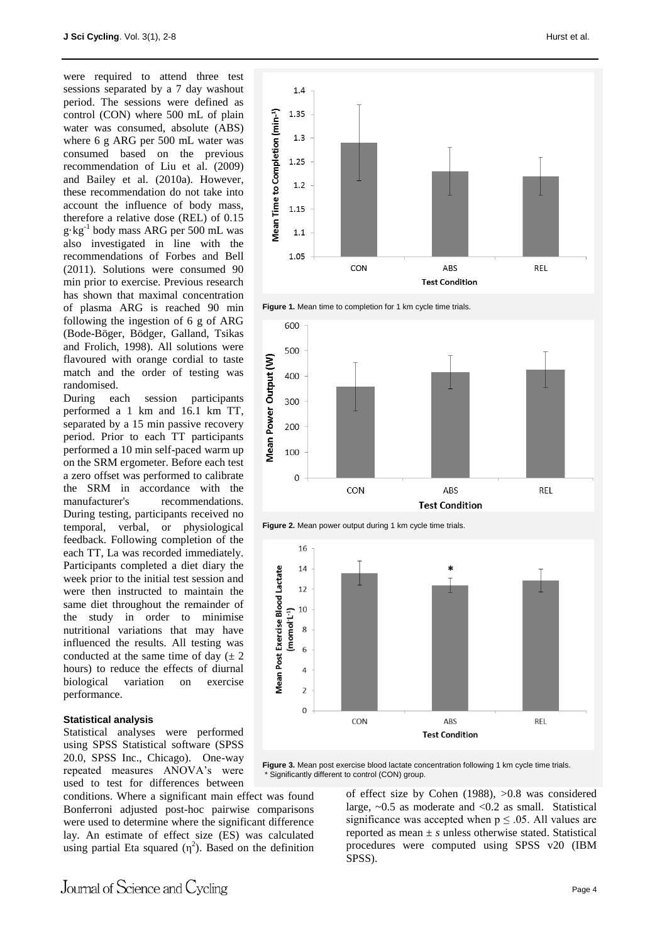were required to attend three test sessions separated by a 7 day washout period. The sessions were defined as control (CON) where 500 mL of plain water was consumed, absolute (ABS) where 6 g ARG per 500 mL water was consumed based on the previous recommendation of Liu et al. (2009) and Bailey et al. (2010a). However, these recommendation do not take into account the influence of body mass, therefore a relative dose (REL) of 0.15 g·kg-1 body mass ARG per 500 mL was also investigated in line with the recommendations of Forbes and Bell (2011). Solutions were consumed 90 min prior to exercise. Previous research has shown that maximal concentration of plasma ARG is reached 90 min following the ingestion of 6 g of ARG (Bode-Böger, Bödger, Galland, Tsikas and Frolich, 1998). All solutions were flavoured with orange cordial to taste match and the order of testing was randomised.

During each session participants performed a 1 km and 16.1 km TT, separated by a 15 min passive recovery period. Prior to each TT participants performed a 10 min self-paced warm up on the SRM ergometer. Before each test a zero offset was performed to calibrate the SRM in accordance with the manufacturer's recommendations. During testing, participants received no temporal, verbal, or physiological feedback. Following completion of the each TT, La was recorded immediately. Participants completed a diet diary the week prior to the initial test session and were then instructed to maintain the same diet throughout the remainder of the study in order to minimise nutritional variations that may have influenced the results. All testing was conducted at the same time of day  $(\pm 2)$ hours) to reduce the effects of diurnal biological variation on exercise performance.

#### **Statistical analysis**

Statistical analyses were performed using SPSS Statistical software (SPSS 20.0, SPSS Inc., Chicago). One-way repeated measures ANOVA's were used to test for differences between

conditions. Where a significant main effect was found Bonferroni adjusted post-hoc pairwise comparisons were used to determine where the significant difference lay. An estimate of effect size (ES) was calculated using partial Eta squared  $(\eta^2)$ . Based on the definition













Figure 3. Mean post exercise blood lactate concentration following 1 km cycle time trials. Significantly different to control (CON) group.

> of effect size by Cohen (1988), >0.8 was considered large,  $\sim 0.5$  as moderate and  $\lt 0.2$  as small. Statistical significance was accepted when  $p \leq 0.05$ . All values are reported as mean ± *s* unless otherwise stated. Statistical procedures were computed using SPSS v20 (IBM SPSS).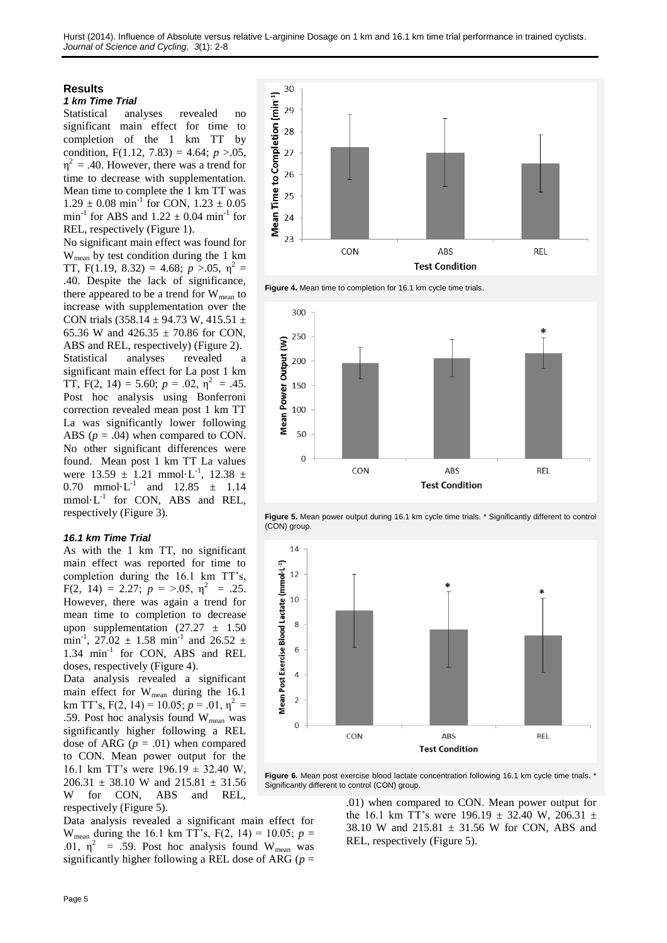# **Results**

#### *1 km Time Trial*

Statistical analyses revealed no significant main effect for time to completion of the 1 km TT by condition,  $F(1.12, 7.83) = 4.64$ ;  $p > 0.05$ ,  $\eta^2$  = .40. However, there was a trend for time to decrease with supplementation. Mean time to complete the 1 km TT was  $1.29 \pm 0.08 \text{ min}^{-1}$  for CON,  $1.23 \pm 0.05$  $min^{-1}$  for ABS and  $1.22 \pm 0.04$   $min^{-1}$  for REL, respectively (Figure 1).

No significant main effect was found for Wmean by test condition during the 1 km TT, F(1.19, 8.32) = 4.68;  $p > 0.05$ ,  $\eta^2$  = .40. Despite the lack of significance, there appeared to be a trend for  $W_{mean}$  to increase with supplementation over the CON trials (358.14  $\pm$  94.73 W, 415.51  $\pm$ 65.36 W and 426.35  $\pm$  70.86 for CON, ABS and REL, respectively) (Figure 2). Statistical analyses revealed a significant main effect for La post 1 km TT, F(2, 14) = 5.60;  $p = .02$ ,  $\eta^2 = .45$ . Post hoc analysis using Bonferroni correction revealed mean post 1 km TT La was significantly lower following ABS  $(p = .04)$  when compared to CON. No other significant differences were found. Mean post 1 km TT La values were  $13.59 \pm 1.21 \text{ mmol} \cdot \text{L}^{-1}$ ,  $12.38 \pm 1.21 \text{ mmol} \cdot \text{L}^{-1}$ 0.70 mmol·L<sup>-1</sup> and  $12.85 \pm 1.14$  $mmol·L^{-1}$  for CON, ABS and REL, respectively (Figure 3).

### *16.1 km Time Trial*

As with the 1 km TT, no significant main effect was reported for time to completion during the 16.1 km TT's,  $F(2, 14) = 2.27; p = >0.05, \eta^2 = .25.$ However, there was again a trend for mean time to completion to decrease upon supplementation  $(27.27 \pm 1.50)$ min<sup>-1</sup>, 27.02  $\pm$  1.58 min<sup>-1</sup> and 26.52  $\pm$ 1.34 min<sup>-1</sup> for CON, ABS and REL doses, respectively (Figure 4).

Data analysis revealed a significant main effect for W<sub>mean</sub> during the 16.1 km TT's,  $F(2, 14) = 10.05$ ;  $p = .01$ ,  $p^2 =$ .59. Post hoc analysis found  $W_{mean}$  was significantly higher following a REL dose of ARG  $(p=.01)$  when compared to CON. Mean power output for the 16.1 km TT's were  $196.19 \pm 32.40$  W,  $206.31 \pm 38.10$  W and  $215.81 \pm 31.56$ W for CON, ABS and REL, respectively (Figure 5).

Data analysis revealed a significant main effect for W<sub>mean</sub> during the 16.1 km TT's,  $F(2, 14) = 10.05$ ;  $p =$ .01,  $\eta^2$  = .59. Post hoc analysis found W<sub>mean</sub> was significantly higher following a REL dose of ARG (*p* =



**Figure 4.** Mean time to completion for 16.1 km cycle time trials.







Figure 6. Mean post exercise blood lactate concentration following 16.1 km cycle time trials. <sup>\*</sup> Significantly different to control (CON) group.

> .01) when compared to CON. Mean power output for the 16.1 km TT's were 196.19  $\pm$  32.40 W, 206.31  $\pm$ 38.10 W and  $215.81 \pm 31.56$  W for CON, ABS and REL, respectively (Figure 5).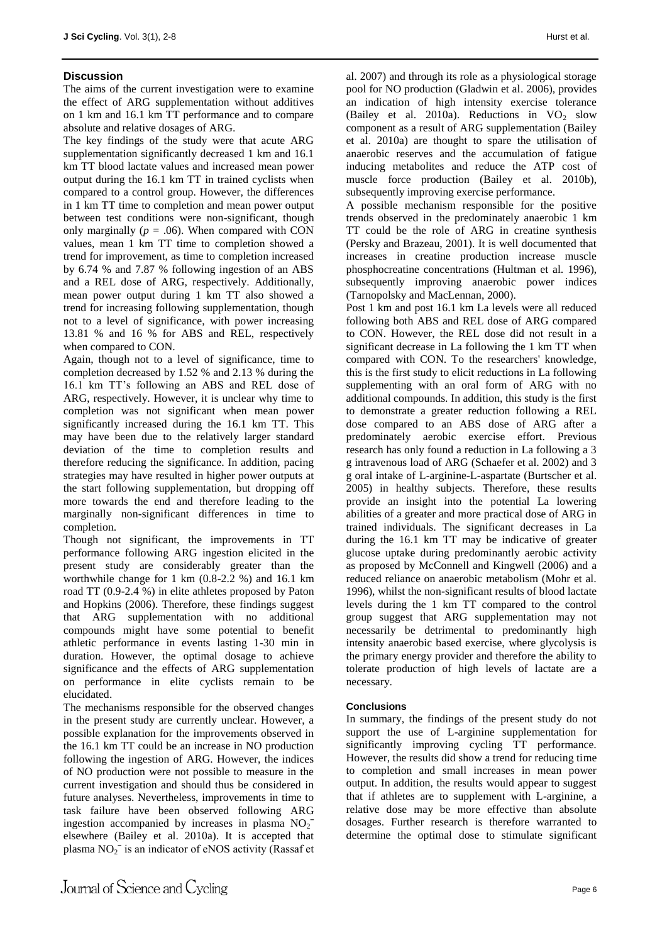# **Discussion**

The aims of the current investigation were to examine the effect of ARG supplementation without additives on 1 km and 16.1 km TT performance and to compare absolute and relative dosages of ARG.

The key findings of the study were that acute ARG supplementation significantly decreased 1 km and 16.1 km TT blood lactate values and increased mean power output during the 16.1 km TT in trained cyclists when compared to a control group. However, the differences in 1 km TT time to completion and mean power output between test conditions were non-significant, though only marginally  $(p = .06)$ . When compared with CON values, mean 1 km TT time to completion showed a trend for improvement, as time to completion increased by 6.74 % and 7.87 % following ingestion of an ABS and a REL dose of ARG, respectively. Additionally, mean power output during 1 km TT also showed a trend for increasing following supplementation, though not to a level of significance, with power increasing 13.81 % and 16 % for ABS and REL, respectively when compared to CON.

Again, though not to a level of significance, time to completion decreased by 1.52 % and 2.13 % during the 16.1 km TT's following an ABS and REL dose of ARG, respectively. However, it is unclear why time to completion was not significant when mean power significantly increased during the 16.1 km TT. This may have been due to the relatively larger standard deviation of the time to completion results and therefore reducing the significance. In addition, pacing strategies may have resulted in higher power outputs at the start following supplementation, but dropping off more towards the end and therefore leading to the marginally non-significant differences in time to completion.

Though not significant, the improvements in TT performance following ARG ingestion elicited in the present study are considerably greater than the worthwhile change for 1 km (0.8-2.2 %) and 16.1 km road TT (0.9-2.4 %) in elite athletes proposed by Paton and Hopkins (2006). Therefore, these findings suggest that ARG supplementation with no additional compounds might have some potential to benefit athletic performance in events lasting 1-30 min in duration. However, the optimal dosage to achieve significance and the effects of ARG supplementation on performance in elite cyclists remain to be elucidated.

The mechanisms responsible for the observed changes in the present study are currently unclear. However, a possible explanation for the improvements observed in the 16.1 km TT could be an increase in NO production following the ingestion of ARG. However, the indices of NO production were not possible to measure in the current investigation and should thus be considered in future analyses. Nevertheless, improvements in time to task failure have been observed following ARG ingestion accompanied by increases in plasma  $NO<sub>2</sub>$ <sup>-</sup> elsewhere (Bailey et al. 2010a). It is accepted that plasma  $NO<sub>2</sub><sup>-</sup>$  is an indicator of eNOS activity (Rassaf et al. 2007) and through its role as a physiological storage pool for NO production (Gladwin et al. 2006), provides an indication of high intensity exercise tolerance (Bailey et al. 2010a). Reductions in  $VO<sub>2</sub>$  slow component as a result of ARG supplementation (Bailey et al. 2010a) are thought to spare the utilisation of anaerobic reserves and the accumulation of fatigue inducing metabolites and reduce the ATP cost of muscle force production (Bailey et al. 2010b), subsequently improving exercise performance.

A possible mechanism responsible for the positive trends observed in the predominately anaerobic 1 km TT could be the role of ARG in creatine synthesis (Persky and Brazeau, 2001). It is well documented that increases in creatine production increase muscle phosphocreatine concentrations (Hultman et al. 1996), subsequently improving anaerobic power indices (Tarnopolsky and MacLennan, 2000).

Post 1 km and post 16.1 km La levels were all reduced following both ABS and REL dose of ARG compared to CON. However, the REL dose did not result in a significant decrease in La following the 1 km TT when compared with CON. To the researchers' knowledge, this is the first study to elicit reductions in La following supplementing with an oral form of ARG with no additional compounds. In addition, this study is the first to demonstrate a greater reduction following a REL dose compared to an ABS dose of ARG after a predominately aerobic exercise effort. Previous research has only found a reduction in La following a 3 g intravenous load of ARG (Schaefer et al. 2002) and 3 g oral intake of L-arginine-L-aspartate (Burtscher et al. 2005) in healthy subjects. Therefore, these results provide an insight into the potential La lowering abilities of a greater and more practical dose of ARG in trained individuals. The significant decreases in La during the 16.1 km TT may be indicative of greater glucose uptake during predominantly aerobic activity as proposed by McConnell and Kingwell (2006) and a reduced reliance on anaerobic metabolism (Mohr et al. 1996), whilst the non-significant results of blood lactate levels during the 1 km TT compared to the control group suggest that ARG supplementation may not necessarily be detrimental to predominantly high intensity anaerobic based exercise, where glycolysis is the primary energy provider and therefore the ability to tolerate production of high levels of lactate are a necessary.

### **Conclusions**

In summary, the findings of the present study do not support the use of L-arginine supplementation for significantly improving cycling TT performance. However, the results did show a trend for reducing time to completion and small increases in mean power output. In addition, the results would appear to suggest that if athletes are to supplement with L-arginine, a relative dose may be more effective than absolute dosages. Further research is therefore warranted to determine the optimal dose to stimulate significant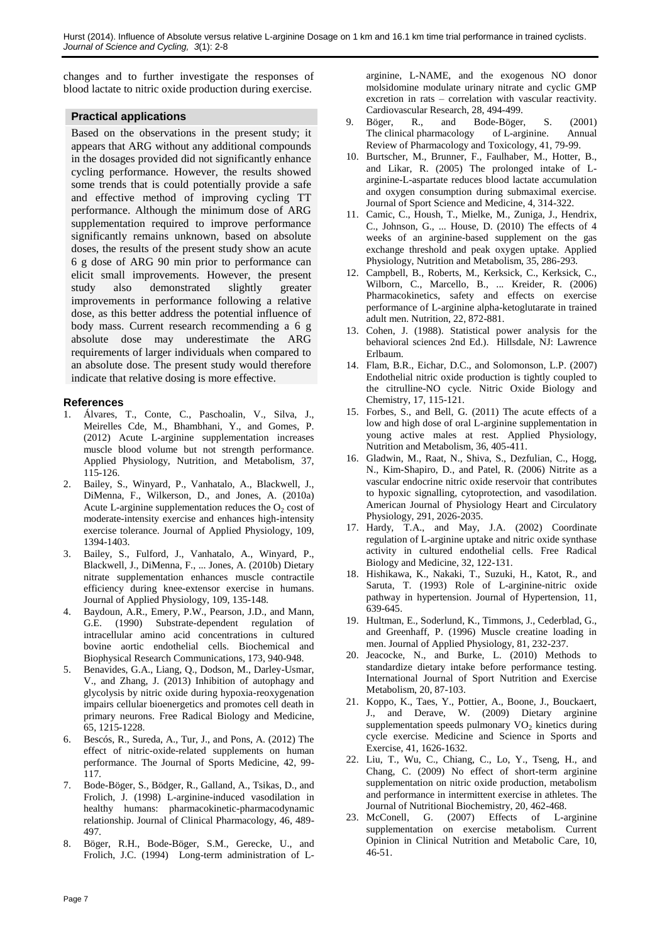changes and to further investigate the responses of blood lactate to nitric oxide production during exercise.

# **Practical applications**

Based on the observations in the present study; it appears that ARG without any additional compounds in the dosages provided did not significantly enhance cycling performance. However, the results showed some trends that is could potentially provide a safe and effective method of improving cycling TT performance. Although the minimum dose of ARG supplementation required to improve performance significantly remains unknown, based on absolute doses, the results of the present study show an acute 6 g dose of ARG 90 min prior to performance can elicit small improvements. However, the present study also demonstrated slightly greater improvements in performance following a relative dose, as this better address the potential influence of body mass. Current research recommending a 6 g absolute dose may underestimate the ARG requirements of larger individuals when compared to an absolute dose. The present study would therefore indicate that relative dosing is more effective.

# **References**

- 1. Álvares, T., Conte, C., Paschoalin, V., Silva, J., Meirelles Cde, M., Bhambhani, Y., and Gomes, P. (2012) Acute L-arginine supplementation increases muscle blood volume but not strength performance. Applied Physiology, Nutrition, and Metabolism, 37, 115-126.
- 2. Bailey, S., Winyard, P., Vanhatalo, A., Blackwell, J., DiMenna, F., Wilkerson, D., and Jones, A. (2010a) Acute L-arginine supplementation reduces the  $O_2$  cost of moderate-intensity exercise and enhances high-intensity exercise tolerance. Journal of Applied Physiology, 109, 1394-1403.
- 3. Bailey, S., Fulford, J., Vanhatalo, A., Winyard, P., Blackwell, J., DiMenna, F., ... Jones, A. (2010b) Dietary nitrate supplementation enhances muscle contractile efficiency during knee-extensor exercise in humans. Journal of Applied Physiology, 109, 135-148.
- Baydoun, A.R., Emery, P.W., Pearson, J.D., and Mann, G.E. (1990) Substrate-dependent regulation of intracellular amino acid concentrations in cultured bovine aortic endothelial cells. Biochemical and Biophysical Research Communications, 173, 940-948.
- 5. Benavides, G.A., Liang, Q., Dodson, M., Darley-Usmar, V., and Zhang, J. (2013) Inhibition of autophagy and glycolysis by nitric oxide during hypoxia-reoxygenation impairs cellular bioenergetics and promotes cell death in primary neurons. Free Radical Biology and Medicine, 65, 1215-1228.
- 6. Bescós, R., Sureda, A., Tur, J., and Pons, A. (2012) The effect of nitric-oxide-related supplements on human performance. The Journal of Sports Medicine, 42, 99- 117.
- 7. Bode-Böger, S., Bödger, R., Galland, A., Tsikas, D., and Frolich, J. (1998) L-arginine-induced vasodilation in healthy humans: pharmacokinetic-pharmacodynamic relationship. Journal of Clinical Pharmacology, 46, 489- 497.
- 8. Böger, R.H., Bode-Böger, S.M., Gerecke, U., and Frolich, J.C. (1994) Long-term administration of L-

arginine, L-NAME, and the exogenous NO donor molsidomine modulate urinary nitrate and cyclic GMP excretion in rats – correlation with vascular reactivity. Cardiovascular Research, 28, 494-499.

- 9. Böger, R., and Bode-Böger, S. (2001) The clinical pharmacology of L-arginine. Annual Review of Pharmacology and Toxicology, 41, 79-99.
- 10. Burtscher, M., Brunner, F., Faulhaber, M., Hotter, B., and Likar, R. (2005) The prolonged intake of Larginine-L-aspartate reduces blood lactate accumulation and oxygen consumption during submaximal exercise. Journal of Sport Science and Medicine, 4, 314-322.
- 11. Camic, C., Housh, T., Mielke, M., Zuniga, J., Hendrix, C., Johnson, G., ... House, D. (2010) The effects of 4 weeks of an arginine-based supplement on the gas exchange threshold and peak oxygen uptake. Applied Physiology, Nutrition and Metabolism, 35, 286-293.
- 12. Campbell, B., Roberts, M., Kerksick, C., Kerksick, C., Wilborn, C., Marcello, B., ... Kreider, R. (2006) Pharmacokinetics, safety and effects on exercise performance of L-arginine alpha-ketoglutarate in trained adult men. Nutrition, 22, 872-881.
- 13. Cohen, J. (1988). Statistical power analysis for the behavioral sciences 2nd Ed.). Hillsdale, NJ: Lawrence Erlbaum.
- 14. Flam, B.R., Eichar, D.C., and Solomonson, L.P. (2007) Endothelial nitric oxide production is tightly coupled to the citrulline-NO cycle. Nitric Oxide Biology and Chemistry, 17, 115-121.
- 15. Forbes, S., and Bell, G. (2011) The acute effects of a low and high dose of oral L-arginine supplementation in young active males at rest. Applied Physiology, Nutrition and Metabolism, 36, 405-411.
- 16. Gladwin, M., Raat, N., Shiva, S., Dezfulian, C., Hogg, N., Kim-Shapiro, D., and Patel, R. (2006) Nitrite as a vascular endocrine nitric oxide reservoir that contributes to hypoxic signalling, cytoprotection, and vasodilation. American Journal of Physiology Heart and Circulatory Physiology, 291, 2026-2035.
- 17. Hardy, T.A., and May, J.A. (2002) Coordinate regulation of L-arginine uptake and nitric oxide synthase activity in cultured endothelial cells. Free Radical Biology and Medicine, 32, 122-131.
- 18. Hishikawa, K., Nakaki, T., Suzuki, H., Katot, R., and Saruta, T. (1993) Role of L-arginine-nitric oxide pathway in hypertension. Journal of Hypertension, 11, 639-645.
- 19. Hultman, E., Soderlund, K., Timmons, J., Cederblad, G., and Greenhaff, P. (1996) Muscle creatine loading in men. Journal of Applied Physiology, 81, 232-237.
- 20. Jeacocke, N., and Burke, L. (2010) Methods to standardize dietary intake before performance testing. International Journal of Sport Nutrition and Exercise Metabolism, 20, 87-103.
- 21. Koppo, K., Taes, Y., Pottier, A., Boone, J., Bouckaert, J., and Derave, W. (2009) Dietary arginine supplementation speeds pulmonary  $VO<sub>2</sub>$  kinetics during cycle exercise. Medicine and Science in Sports and Exercise, 41, 1626-1632.
- 22. Liu, T., Wu, C., Chiang, C., Lo, Y., Tseng, H., and Chang, C. (2009) No effect of short-term arginine supplementation on nitric oxide production, metabolism and performance in intermittent exercise in athletes. The Journal of Nutritional Biochemistry, 20, 462-468.
- 23. McConell, G. (2007) Effects of L-arginine supplementation on exercise metabolism. Current Opinion in Clinical Nutrition and Metabolic Care, 10,  $46 - 51$ .